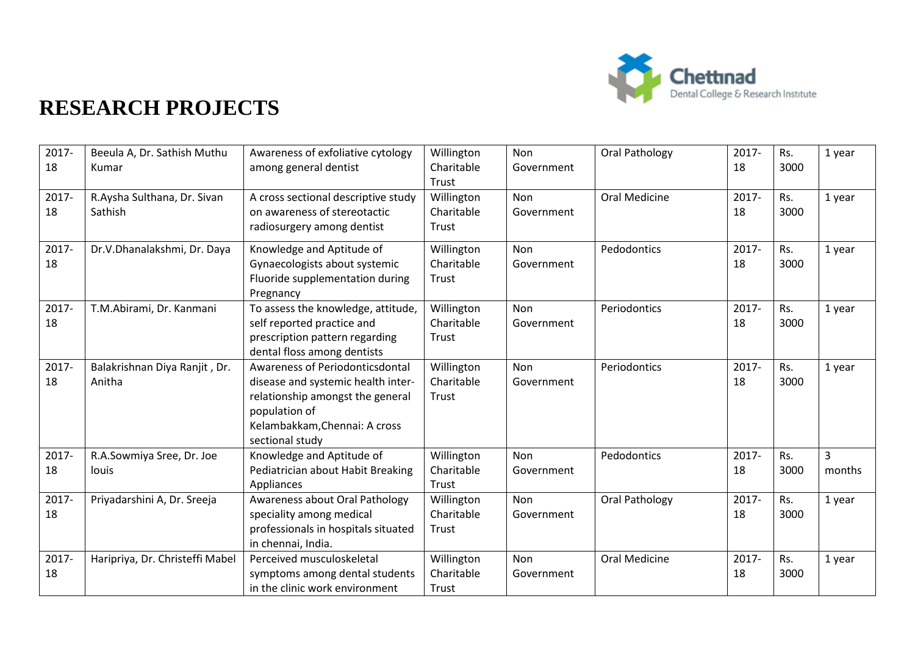

| 2017-<br>18 | Beeula A, Dr. Sathish Muthu<br>Kumar    | Awareness of exfoliative cytology<br>among general dentist                                                                                                                     | Willington<br>Charitable<br>Trust | Non<br>Government        | Oral Pathology       | 2017-<br>18 | Rs.<br>3000 | 1 year      |
|-------------|-----------------------------------------|--------------------------------------------------------------------------------------------------------------------------------------------------------------------------------|-----------------------------------|--------------------------|----------------------|-------------|-------------|-------------|
| 2017-<br>18 | R.Aysha Sulthana, Dr. Sivan<br>Sathish  | A cross sectional descriptive study<br>on awareness of stereotactic<br>radiosurgery among dentist                                                                              | Willington<br>Charitable<br>Trust | Non<br>Government        | <b>Oral Medicine</b> | 2017-<br>18 | Rs.<br>3000 | 1 year      |
| 2017-<br>18 | Dr.V.Dhanalakshmi, Dr. Daya             | Knowledge and Aptitude of<br>Gynaecologists about systemic<br>Fluoride supplementation during<br>Pregnancy                                                                     | Willington<br>Charitable<br>Trust | <b>Non</b><br>Government | Pedodontics          | 2017-<br>18 | Rs.<br>3000 | 1 year      |
| 2017-<br>18 | T.M.Abirami, Dr. Kanmani                | To assess the knowledge, attitude,<br>self reported practice and<br>prescription pattern regarding<br>dental floss among dentists                                              | Willington<br>Charitable<br>Trust | <b>Non</b><br>Government | Periodontics         | 2017-<br>18 | Rs.<br>3000 | 1 year      |
| 2017-<br>18 | Balakrishnan Diya Ranjit, Dr.<br>Anitha | Awareness of Periodonticsdontal<br>disease and systemic health inter-<br>relationship amongst the general<br>population of<br>Kelambakkam, Chennai: A cross<br>sectional study | Willington<br>Charitable<br>Trust | Non<br>Government        | Periodontics         | 2017-<br>18 | Rs.<br>3000 | 1 year      |
| 2017-<br>18 | R.A.Sowmiya Sree, Dr. Joe<br>louis      | Knowledge and Aptitude of<br>Pediatrician about Habit Breaking<br>Appliances                                                                                                   | Willington<br>Charitable<br>Trust | <b>Non</b><br>Government | Pedodontics          | 2017-<br>18 | Rs.<br>3000 | 3<br>months |
| 2017-<br>18 | Priyadarshini A, Dr. Sreeja             | Awareness about Oral Pathology<br>speciality among medical<br>professionals in hospitals situated<br>in chennai, India.                                                        | Willington<br>Charitable<br>Trust | Non<br>Government        | Oral Pathology       | 2017-<br>18 | Rs.<br>3000 | 1 year      |
| 2017-<br>18 | Haripriya, Dr. Christeffi Mabel         | Perceived musculoskeletal<br>symptoms among dental students<br>in the clinic work environment                                                                                  | Willington<br>Charitable<br>Trust | Non<br>Government        | <b>Oral Medicine</b> | 2017-<br>18 | Rs.<br>3000 | 1 year      |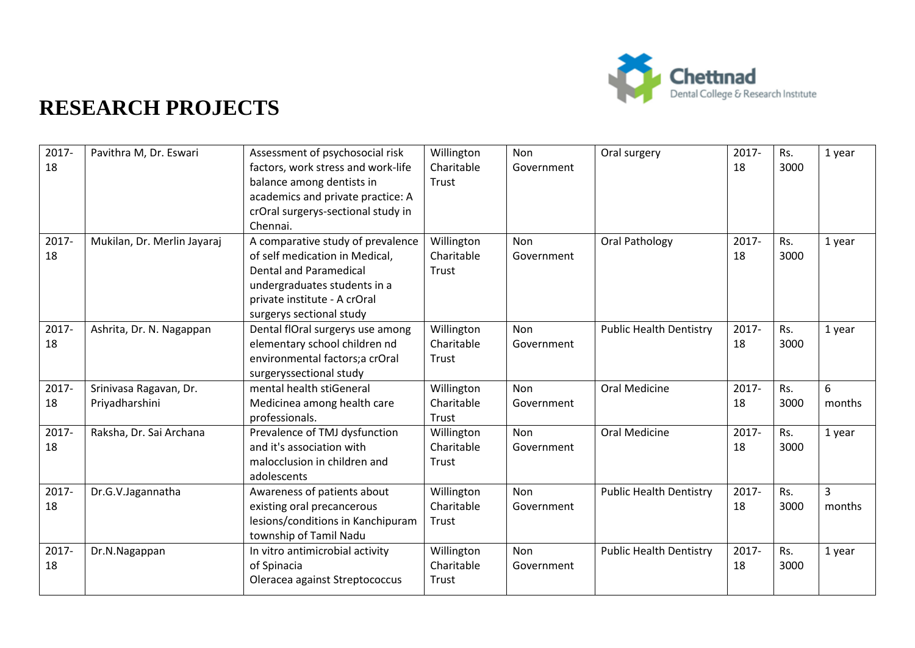

| 2017- | Pavithra M, Dr. Eswari      | Assessment of psychosocial risk    | Willington | Non        | Oral surgery                   | 2017- | Rs.  | 1 year |
|-------|-----------------------------|------------------------------------|------------|------------|--------------------------------|-------|------|--------|
| 18    |                             | factors, work stress and work-life | Charitable | Government |                                | 18    | 3000 |        |
|       |                             | balance among dentists in          | Trust      |            |                                |       |      |        |
|       |                             | academics and private practice: A  |            |            |                                |       |      |        |
|       |                             | crOral surgerys-sectional study in |            |            |                                |       |      |        |
|       |                             | Chennai.                           |            |            |                                |       |      |        |
| 2017- | Mukilan, Dr. Merlin Jayaraj | A comparative study of prevalence  | Willington | Non        | Oral Pathology                 | 2017- | Rs.  | 1 year |
| 18    |                             | of self medication in Medical,     | Charitable | Government |                                | 18    | 3000 |        |
|       |                             | <b>Dental and Paramedical</b>      | Trust      |            |                                |       |      |        |
|       |                             | undergraduates students in a       |            |            |                                |       |      |        |
|       |                             | private institute - A crOral       |            |            |                                |       |      |        |
|       |                             | surgerys sectional study           |            |            |                                |       |      |        |
| 2017- | Ashrita, Dr. N. Nagappan    | Dental flOral surgerys use among   | Willington | <b>Non</b> | <b>Public Health Dentistry</b> | 2017- | Rs.  | 1 year |
| 18    |                             | elementary school children nd      | Charitable | Government |                                | 18    | 3000 |        |
|       |                             | environmental factors;a crOral     | Trust      |            |                                |       |      |        |
|       |                             | surgeryssectional study            |            |            |                                |       |      |        |
| 2017- | Srinivasa Ragavan, Dr.      | mental health stiGeneral           | Willington | Non        | <b>Oral Medicine</b>           | 2017- | Rs.  | 6      |
| 18    | Priyadharshini              | Medicinea among health care        | Charitable | Government |                                | 18    | 3000 | months |
|       |                             | professionals.                     | Trust      |            |                                |       |      |        |
| 2017- | Raksha, Dr. Sai Archana     | Prevalence of TMJ dysfunction      | Willington | Non        | Oral Medicine                  | 2017- | Rs.  | 1 year |
| 18    |                             | and it's association with          | Charitable | Government |                                | 18    | 3000 |        |
|       |                             | malocclusion in children and       | Trust      |            |                                |       |      |        |
|       |                             | adolescents                        |            |            |                                |       |      |        |
| 2017- | Dr.G.V.Jagannatha           | Awareness of patients about        | Willington | Non        | <b>Public Health Dentistry</b> | 2017- | Rs.  | 3      |
| 18    |                             | existing oral precancerous         | Charitable | Government |                                | 18    | 3000 | months |
|       |                             | lesions/conditions in Kanchipuram  | Trust      |            |                                |       |      |        |
|       |                             | township of Tamil Nadu             |            |            |                                |       |      |        |
| 2017- | Dr.N.Nagappan               | In vitro antimicrobial activity    | Willington | Non        | <b>Public Health Dentistry</b> | 2017- | Rs.  | 1 year |
| 18    |                             | of Spinacia                        | Charitable | Government |                                | 18    | 3000 |        |
|       |                             | Oleracea against Streptococcus     | Trust      |            |                                |       |      |        |
|       |                             |                                    |            |            |                                |       |      |        |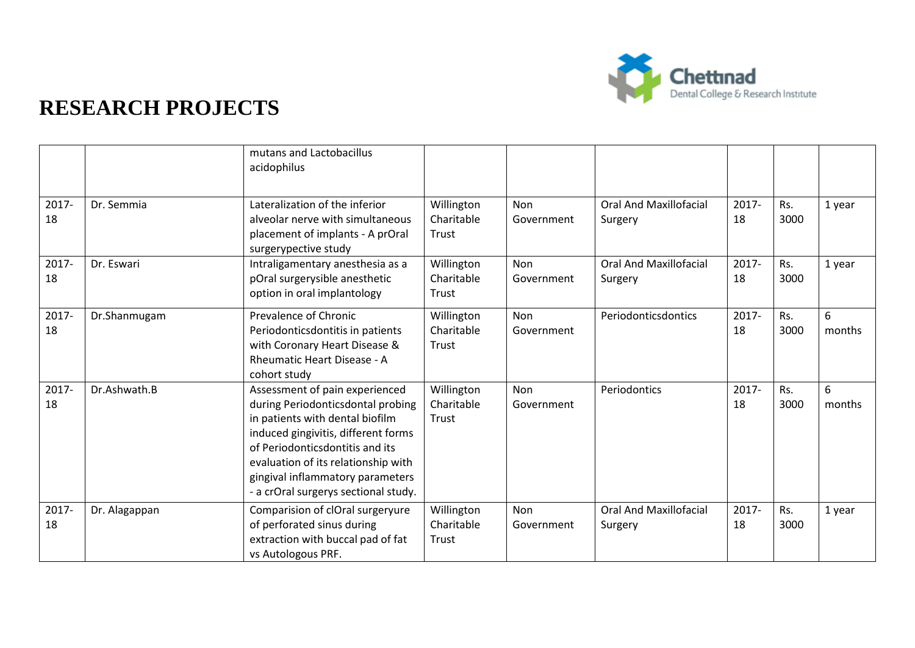

|             |               | mutans and Lactobacillus<br>acidophilus                                                                                                                                                                                                                                                             |                                   |                          |                                          |                |             |             |
|-------------|---------------|-----------------------------------------------------------------------------------------------------------------------------------------------------------------------------------------------------------------------------------------------------------------------------------------------------|-----------------------------------|--------------------------|------------------------------------------|----------------|-------------|-------------|
| 2017-<br>18 | Dr. Semmia    | Lateralization of the inferior<br>alveolar nerve with simultaneous<br>placement of implants - A prOral<br>surgerypective study                                                                                                                                                                      | Willington<br>Charitable<br>Trust | Non<br>Government        | <b>Oral And Maxillofacial</b><br>Surgery | 2017-<br>18    | Rs.<br>3000 | 1 year      |
| 2017-<br>18 | Dr. Eswari    | Intraligamentary anesthesia as a<br>pOral surgerysible anesthetic<br>option in oral implantology                                                                                                                                                                                                    | Willington<br>Charitable<br>Trust | Non<br>Government        | <b>Oral And Maxillofacial</b><br>Surgery | 2017-<br>18    | Rs.<br>3000 | 1 year      |
| 2017-<br>18 | Dr.Shanmugam  | Prevalence of Chronic<br>Periodonticsdontitis in patients<br>with Coronary Heart Disease &<br>Rheumatic Heart Disease - A<br>cohort study                                                                                                                                                           | Willington<br>Charitable<br>Trust | Non<br>Government        | Periodonticsdontics                      | $2017 -$<br>18 | Rs.<br>3000 | 6<br>months |
| 2017-<br>18 | Dr.Ashwath.B  | Assessment of pain experienced<br>during Periodonticsdontal probing<br>in patients with dental biofilm<br>induced gingivitis, different forms<br>of Periodonticsdontitis and its<br>evaluation of its relationship with<br>gingival inflammatory parameters<br>- a crOral surgerys sectional study. | Willington<br>Charitable<br>Trust | <b>Non</b><br>Government | Periodontics                             | $2017 -$<br>18 | Rs.<br>3000 | 6<br>months |
| 2017-<br>18 | Dr. Alagappan | Comparision of clOral surgeryure<br>of perforated sinus during<br>extraction with buccal pad of fat<br>vs Autologous PRF.                                                                                                                                                                           | Willington<br>Charitable<br>Trust | <b>Non</b><br>Government | <b>Oral And Maxillofacial</b><br>Surgery | 2017-<br>18    | Rs.<br>3000 | 1 year      |